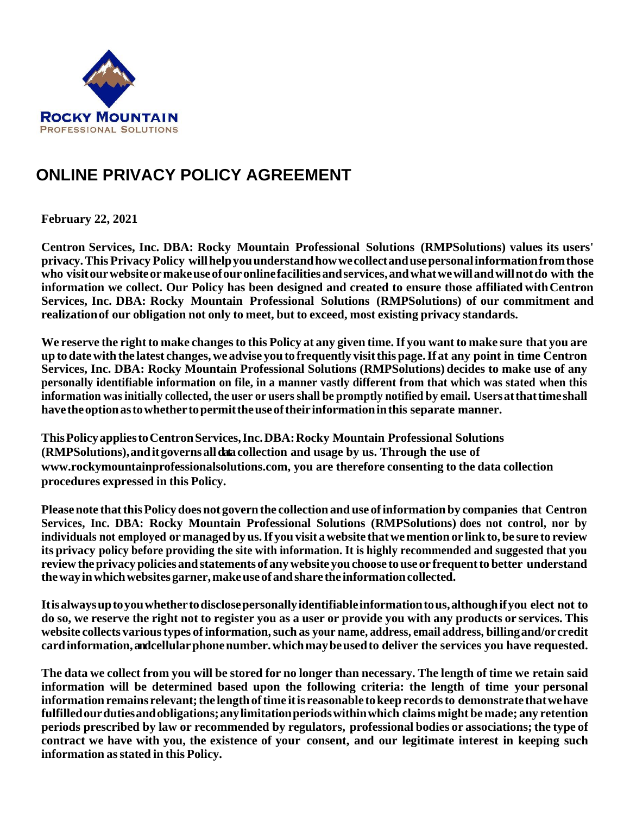

# **ONLINE PRIVACY POLICY AGREEMENT**

**February 22, 2021** 

**Centron Services, Inc. DBA: Rocky Mountain Professional Solutions (RMPSolutions) values its users' privacy.This Privacy Policy willhelpyouunderstandhowwecollectandusepersonalinformationfromthose who visitourwebsiteormakeuseofouronlinefacilitiesandservices,andwhatwewillandwillnotdo with the information we collect. Our Policy has been designed and created to ensure those affiliated withCentron Services, Inc. DBA: Rocky Mountain Professional Solutions (RMPSolutions) of our commitment and realizationof our obligation not only to meet, but to exceed, most existing privacy standards.**

We reserve the right to make changes to this Policy at any given time. If you want to make sure that you are **up to datewith the latest changes, we advise you to frequently visitthis page.If at any point in time Centron Services, Inc. DBA: Rocky Mountain Professional Solutions (RMPSolutions) decides to make use of any personally identifiable information on file, in a manner vastly different from that which was stated when this information wasinitially collected, the user or users shall be promptly notified by email. Usersatthattimeshall havetheoptionastowhethertopermittheuseoftheirinformationinthis separate manner.**

**ThisPolicyappliestoCentronServices,Inc.DBA:Rocky Mountain Professional Solutions (RMPSolutions),anditgovernsalldatacollection and usage by us. Through the use of www[.rockymountainprofessionalsolutions.com, y](http://www.creditsystemshelenamt.com/)ou are therefore consenting to the data collection procedures expressed in this Policy.**

**Pleasenote thatthisPolicydoes not govern the collection and use ofinformation by companies that Centron Services, Inc. DBA: Rocky Mountain Professional Solutions (RMPSolutions) does not control, nor by individuals not employed ormanaged by us.If you visit awebsite thatwemention or linkto,be sure to review its privacy policy before providing the site with information. It is highly recommended and suggested that you reviewtheprivacypolicies andstatements of anywebsite youchoose touse or frequentto better understand thewayinwhichwebsitesgarner,makeuseofandshare the informationcollected.**

**Itisalwaysuptoyouwhethertodisclosepersonallyidentifiableinformationtous,althoughifyou elect not to do so, we reserve the right not to register you as a user or provide you with any products or services. This website collects varioustypes ofinformation,such as your name, address, email address, billingand/orcredit cardinformation,and cellularphonenumber.whichmaybeusedto deliver the services you have requested.**

The data we collect from you will be stored for no longer than necessary. The length of time we retain said **information will be determined based upon the following criteria: the length of time your personal informationremains relevant;the lengthoftime itis reasonable tokeeprecordsto demonstratethatwehave fulfilledourdutiesandobligations;anylimitationperiodswithinwhich claims might bemade; any retention periods prescribed by law or recommended by regulators, professional bodies or associations; the type of contract we have with you, the existence of your consent, and our legitimate interest in keeping such information asstated in this Policy.**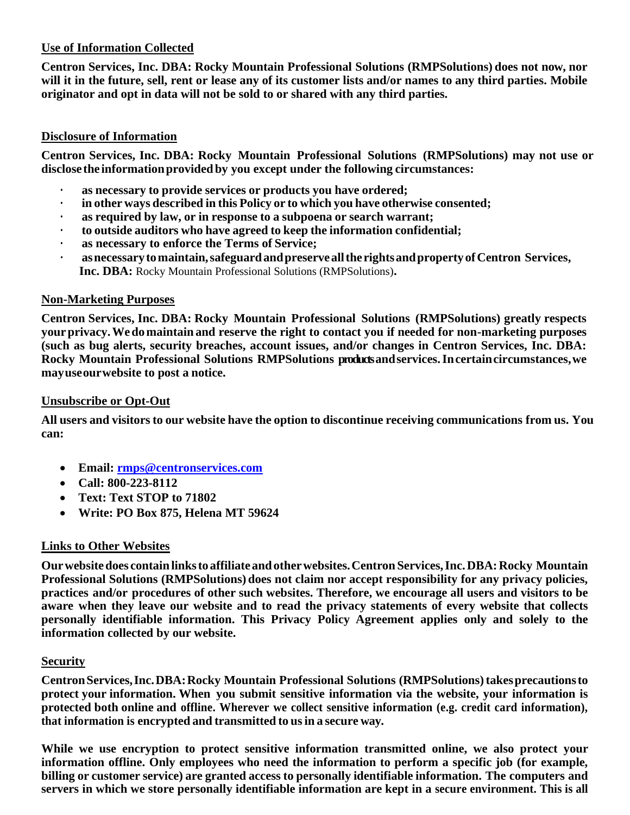# **Use of Information Collected**

**Centron Services, Inc. DBA: Rocky Mountain Professional Solutions (RMPSolutions) does not now, nor** will it in the future, sell, rent or lease any of its customer lists and/or names to any third parties. Mobile **originator and opt in data will not be sold to or shared with any third parties.** 

# **Disclosure of Information**

**Centron Services, Inc. DBA: Rocky Mountain Professional Solutions (RMPSolutions) may not use or disclose the informationprovidedby you except under the following circumstances:**

- **· as necessary to provide services or products you have ordered;**
- **· in other ways described in this Policy or to which you have otherwise consented;**
- **· as required by law, or in response to a subpoena or search warrant;**
- **· to outside auditors who have agreed to keep the information confidential;**
- **· as necessary to enforce the Terms of Service;**
- **· asnecessarytomaintain,safeguardandpreserveallthe rightsandpropertyofCentron Services, Inc. DBA:** Rocky Mountain Professional Solutions (RMPSolutions)**.**

# **Non-Marketing Purposes**

**Centron Services, Inc. DBA: Rocky Mountain Professional Solutions (RMPSolutions) greatly respects yourprivacy.Wedomaintain and reserve the right to contact you if needed for non-marketing purposes (such as bug alerts, security breaches, account issues, and/or changes in Centron Services, Inc. DBA: Rocky Mountain Professional Solutions RMPSolutions productsandservices.Incertaincircumstances,we mayuseourwebsite to post a notice.**

#### **Unsubscribe or Opt-Out**

**All users and visitors to our website have the option to discontinue receiving communications from us. You can:**

- **Email: [rmps@centronservices.com](mailto:rmps@centronservices.com)**
- **Call: 800-223-8112**
- **Text: Text STOP to 71802**
- **Write: PO Box 875, Helena MT 59624**

# **Links to Other Websites**

**Ourwebsitedoes containlinksto affiliate andotherwebsites.Centron Services,Inc.DBA:Rocky Mountain Professional Solutions (RMPSolutions) does not claim nor accept responsibility for any privacy policies, practices and/or procedures of other such websites. Therefore, we encourage all users and visitors to be aware when they leave our website and to read the privacy statements of every website that collects personally identifiable information. This Privacy Policy Agreement applies only and solely to the information collected by our website.**

# **Security**

**CentronServices,Inc.DBA:Rocky Mountain Professional Solutions (RMPSolutions)takesprecautionsto protect your information. When you submit sensitive information via the website, your information is protected both online and offline. Wherever we collect sensitive information (e.g. credit card information), that information is encrypted and transmitted to usin a secure way.**

**While we use encryption to protect sensitive information transmitted online, we also protect your information offline. Only employees who need the information to perform a specific job (for example, billing or customer service) are granted access to personally identifiable information. The computers and** servers in which we store personally identifiable information are kept in a secure environment. This is all